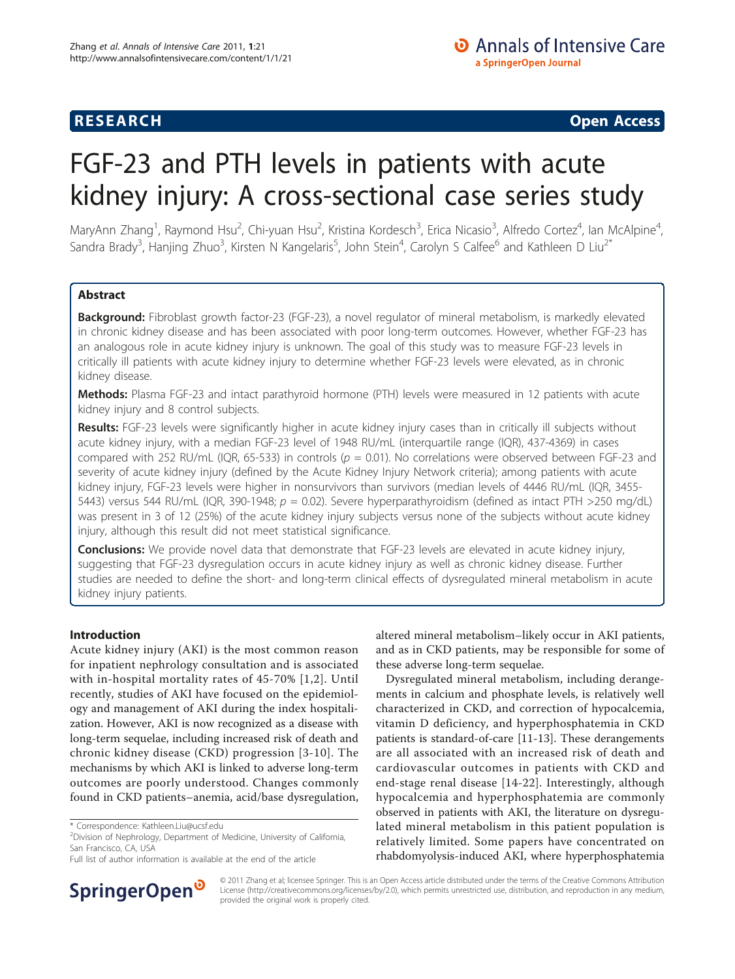## **RESEARCH CHRISTIAN CONSUMING CONTRACT CONSUMING CONSUMING CONSUMING CONSUMING CONSUMING CONSUMING CONSUMING CO**

# FGF-23 and PTH levels in patients with acute kidney injury: A cross-sectional case series study

MaryAnn Zhang<sup>1</sup>, Raymond Hsu<sup>2</sup>, Chi-yuan Hsu<sup>2</sup>, Kristina Kordesch<sup>3</sup>, Erica Nicasio<sup>3</sup>, Alfredo Cortez<sup>4</sup>, Ian McAlpine<sup>4</sup> , Sandra Brady<sup>3</sup>, Hanjing Zhuo<sup>3</sup>, Kirsten N Kangelaris<sup>5</sup>, John Stein<sup>4</sup>, Carolyn S Calfee<sup>6</sup> and Kathleen D Liu<sup>2\*</sup>

## Abstract

Background: Fibroblast growth factor-23 (FGF-23), a novel regulator of mineral metabolism, is markedly elevated in chronic kidney disease and has been associated with poor long-term outcomes. However, whether FGF-23 has an analogous role in acute kidney injury is unknown. The goal of this study was to measure FGF-23 levels in critically ill patients with acute kidney injury to determine whether FGF-23 levels were elevated, as in chronic kidney disease.

Methods: Plasma FGF-23 and intact parathyroid hormone (PTH) levels were measured in 12 patients with acute kidney injury and 8 control subjects.

Results: FGF-23 levels were significantly higher in acute kidney injury cases than in critically ill subjects without acute kidney injury, with a median FGF-23 level of 1948 RU/mL (interquartile range (IQR), 437-4369) in cases compared with 252 RU/mL (IQR, 65-533) in controls ( $p = 0.01$ ). No correlations were observed between FGF-23 and severity of acute kidney injury (defined by the Acute Kidney Injury Network criteria); among patients with acute kidney injury, FGF-23 levels were higher in nonsurvivors than survivors (median levels of 4446 RU/mL (IQR, 3455- 5443) versus 544 RU/mL (IQR, 390-1948;  $p = 0.02$ ). Severe hyperparathyroidism (defined as intact PTH >250 mg/dL) was present in 3 of 12 (25%) of the acute kidney injury subjects versus none of the subjects without acute kidney injury, although this result did not meet statistical significance.

**Conclusions:** We provide novel data that demonstrate that FGF-23 levels are elevated in acute kidney injury, suggesting that FGF-23 dysregulation occurs in acute kidney injury as well as chronic kidney disease. Further studies are needed to define the short- and long-term clinical effects of dysregulated mineral metabolism in acute kidney injury patients.

## Introduction

Acute kidney injury (AKI) is the most common reason for inpatient nephrology consultation and is associated with in-hospital mortality rates of 45-70% [[1,2](#page-5-0)]. Until recently, studies of AKI have focused on the epidemiology and management of AKI during the index hospitalization. However, AKI is now recognized as a disease with long-term sequelae, including increased risk of death and chronic kidney disease (CKD) progression [\[3-10\]](#page-5-0). The mechanisms by which AKI is linked to adverse long-term outcomes are poorly understood. Changes commonly found in CKD patients–anemia, acid/base dysregulation,



Dysregulated mineral metabolism, including derangements in calcium and phosphate levels, is relatively well characterized in CKD, and correction of hypocalcemia, vitamin D deficiency, and hyperphosphatemia in CKD patients is standard-of-care [[11](#page-5-0)-[13\]](#page-5-0). These derangements are all associated with an increased risk of death and cardiovascular outcomes in patients with CKD and end-stage renal disease [[14-22\]](#page-5-0). Interestingly, although hypocalcemia and hyperphosphatemia are commonly observed in patients with AKI, the literature on dysregulated mineral metabolism in this patient population is relatively limited. Some papers have concentrated on rhabdomyolysis-induced AKI, where hyperphosphatemia



© 2011 Zhang et al; licensee Springer. This is an Open Access article distributed under the terms of the Creative Commons Attribution License [\(http://creativecommons.org/licenses/by/2.0](http://creativecommons.org/licenses/by/2.0)), which permits unrestricted use, distribution, and reproduction in any medium, provided the original work is properly cited.

<sup>\*</sup> Correspondence: [Kathleen.Liu@ucsf.edu](mailto:Kathleen.Liu@ucsf.edu)

<sup>&</sup>lt;sup>2</sup> Division of Nephrology, Department of Medicine, University of California, San Francisco, CA, USA

Full list of author information is available at the end of the article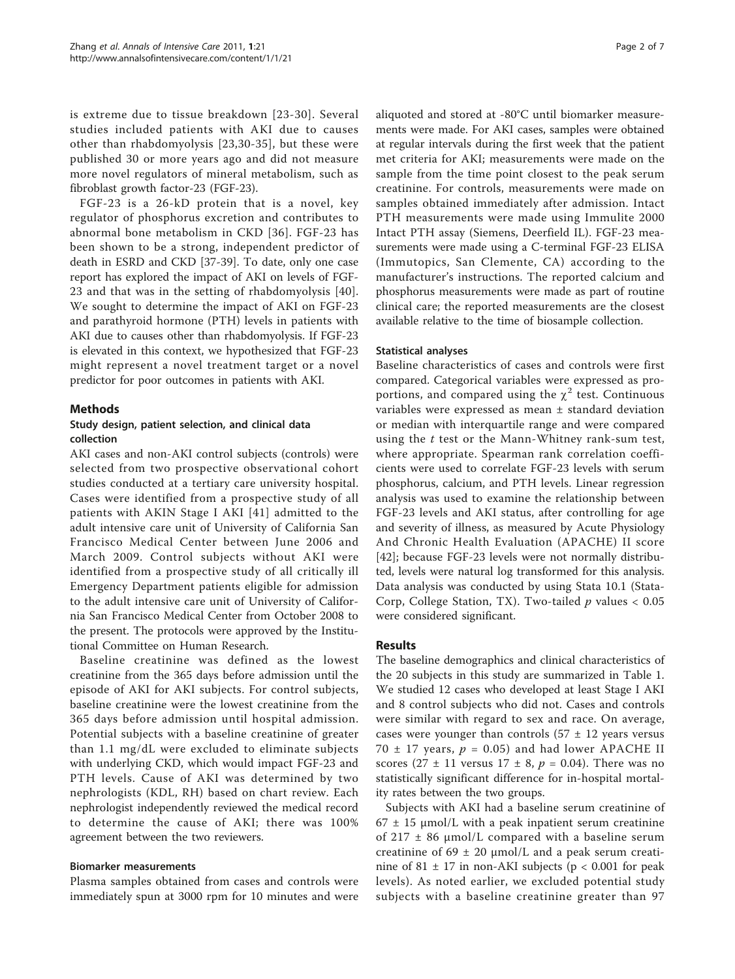is extreme due to tissue breakdown [[23-30\]](#page-5-0). Several studies included patients with AKI due to causes other than rhabdomyolysis [[23](#page-5-0),[30](#page-5-0)-[35](#page-6-0)], but these were published 30 or more years ago and did not measure more novel regulators of mineral metabolism, such as fibroblast growth factor-23 (FGF-23).

FGF-23 is a 26-kD protein that is a novel, key regulator of phosphorus excretion and contributes to abnormal bone metabolism in CKD [\[36\]](#page-6-0). FGF-23 has been shown to be a strong, independent predictor of death in ESRD and CKD [[37](#page-6-0)-[39\]](#page-6-0). To date, only one case report has explored the impact of AKI on levels of FGF-23 and that was in the setting of rhabdomyolysis [[40](#page-6-0)]. We sought to determine the impact of AKI on FGF-23 and parathyroid hormone (PTH) levels in patients with AKI due to causes other than rhabdomyolysis. If FGF-23 is elevated in this context, we hypothesized that FGF-23 might represent a novel treatment target or a novel predictor for poor outcomes in patients with AKI.

## Methods

## Study design, patient selection, and clinical data collection

AKI cases and non-AKI control subjects (controls) were selected from two prospective observational cohort studies conducted at a tertiary care university hospital. Cases were identified from a prospective study of all patients with AKIN Stage I AKI [[41](#page-6-0)] admitted to the adult intensive care unit of University of California San Francisco Medical Center between June 2006 and March 2009. Control subjects without AKI were identified from a prospective study of all critically ill Emergency Department patients eligible for admission to the adult intensive care unit of University of California San Francisco Medical Center from October 2008 to the present. The protocols were approved by the Institutional Committee on Human Research.

Baseline creatinine was defined as the lowest creatinine from the 365 days before admission until the episode of AKI for AKI subjects. For control subjects, baseline creatinine were the lowest creatinine from the 365 days before admission until hospital admission. Potential subjects with a baseline creatinine of greater than 1.1 mg/dL were excluded to eliminate subjects with underlying CKD, which would impact FGF-23 and PTH levels. Cause of AKI was determined by two nephrologists (KDL, RH) based on chart review. Each nephrologist independently reviewed the medical record to determine the cause of AKI; there was 100% agreement between the two reviewers.

#### Biomarker measurements

Plasma samples obtained from cases and controls were immediately spun at 3000 rpm for 10 minutes and were aliquoted and stored at -80°C until biomarker measurements were made. For AKI cases, samples were obtained at regular intervals during the first week that the patient met criteria for AKI; measurements were made on the sample from the time point closest to the peak serum creatinine. For controls, measurements were made on samples obtained immediately after admission. Intact PTH measurements were made using Immulite 2000 Intact PTH assay (Siemens, Deerfield IL). FGF-23 measurements were made using a C-terminal FGF-23 ELISA (Immutopics, San Clemente, CA) according to the manufacturer's instructions. The reported calcium and phosphorus measurements were made as part of routine clinical care; the reported measurements are the closest available relative to the time of biosample collection.

### Statistical analyses

Baseline characteristics of cases and controls were first compared. Categorical variables were expressed as proportions, and compared using the  $\chi^2$  test. Continuous variables were expressed as mean ± standard deviation or median with interquartile range and were compared using the t test or the Mann-Whitney rank-sum test, where appropriate. Spearman rank correlation coefficients were used to correlate FGF-23 levels with serum phosphorus, calcium, and PTH levels. Linear regression analysis was used to examine the relationship between FGF-23 levels and AKI status, after controlling for age and severity of illness, as measured by Acute Physiology And Chronic Health Evaluation (APACHE) II score [[42\]](#page-6-0); because FGF-23 levels were not normally distributed, levels were natural log transformed for this analysis. Data analysis was conducted by using Stata 10.1 (Stata-Corp, College Station, TX). Two-tailed  $p$  values < 0.05 were considered significant.

## Results

The baseline demographics and clinical characteristics of the 20 subjects in this study are summarized in Table [1](#page-2-0). We studied 12 cases who developed at least Stage I AKI and 8 control subjects who did not. Cases and controls were similar with regard to sex and race. On average, cases were younger than controls  $(57 \pm 12)$  years versus 70  $\pm$  17 years,  $p = 0.05$ ) and had lower APACHE II scores (27  $\pm$  11 versus 17  $\pm$  8,  $p = 0.04$ ). There was no statistically significant difference for in-hospital mortality rates between the two groups.

Subjects with AKI had a baseline serum creatinine of  $67 \pm 15$  µmol/L with a peak inpatient serum creatinine of 217  $\pm$  86 µmol/L compared with a baseline serum creatinine of  $69 \pm 20$  µmol/L and a peak serum creatinine of 81  $\pm$  17 in non-AKI subjects (p < 0.001 for peak levels). As noted earlier, we excluded potential study subjects with a baseline creatinine greater than 97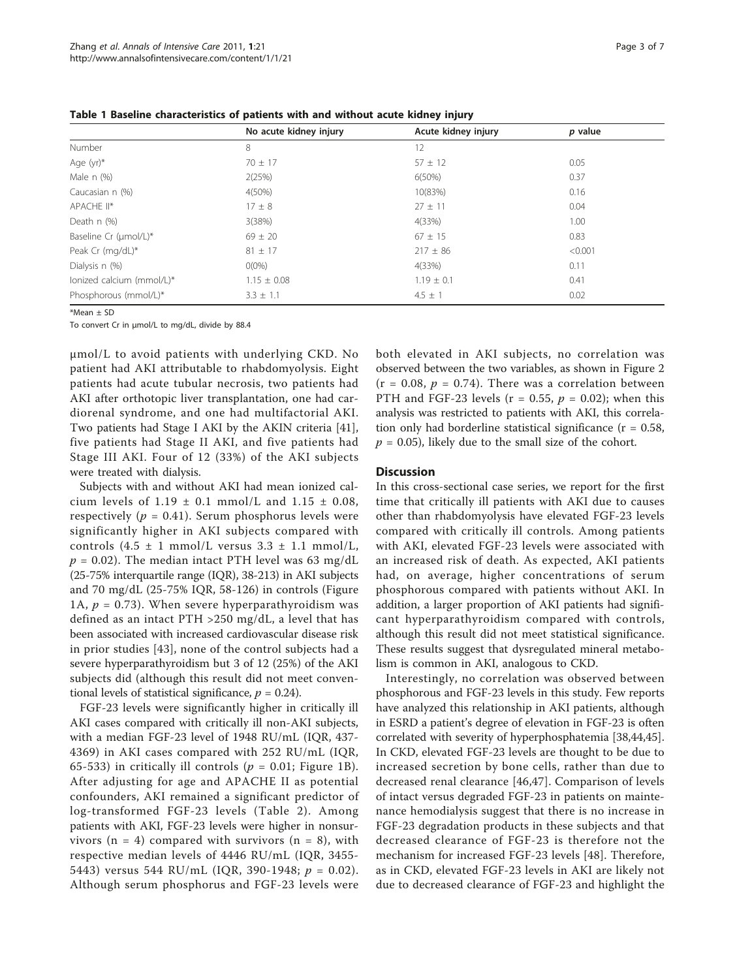|                           | No acute kidney injury | Acute kidney injury | p value |  |
|---------------------------|------------------------|---------------------|---------|--|
| Number                    | 8                      | 12                  |         |  |
| Age (yr)*                 | $70 \pm 17$            | $57 \pm 12$         | 0.05    |  |
| Male $n$ $(\%)$           | 2(25%)                 | $6(50\%)$           | 0.37    |  |
| Caucasian n (%)           | $4(50\%)$              | 10(83%)             | 0.16    |  |
| APACHE II*                | $17 \pm 8$             | $27 \pm 11$         | 0.04    |  |
| Death n (%)               | 3(38%)                 | 4(33%)              | 1.00    |  |
| Baseline Cr (µmol/L)*     | $69 \pm 20$            | $67 \pm 15$         | 0.83    |  |
| Peak Cr (mg/dL)*          | $81 \pm 17$            | $217 \pm 86$        | < 0.001 |  |
| Dialysis n (%)            | $O(0\%)$               | 4(33%)              | 0.11    |  |
| lonized calcium (mmol/L)* | $1.15 \pm 0.08$        | $1.19 \pm 0.1$      | 0.41    |  |
| Phosphorous (mmol/L)*     | $3.3 \pm 1.1$          | $4.5 \pm 1$         | 0.02    |  |
|                           |                        |                     |         |  |

<span id="page-2-0"></span>Table 1 Baseline characteristics of patients with and without acute kidney injury

\*Mean ± SD

To convert Cr in μmol/L to mg/dL, divide by 88.4

μmol/L to avoid patients with underlying CKD. No patient had AKI attributable to rhabdomyolysis. Eight patients had acute tubular necrosis, two patients had AKI after orthotopic liver transplantation, one had cardiorenal syndrome, and one had multifactorial AKI. Two patients had Stage I AKI by the AKIN criteria [\[41](#page-6-0)], five patients had Stage II AKI, and five patients had Stage III AKI. Four of 12 (33%) of the AKI subjects were treated with dialysis.

Subjects with and without AKI had mean ionized calcium levels of  $1.19 \pm 0.1$  mmol/L and  $1.15 \pm 0.08$ , respectively ( $p = 0.41$ ). Serum phosphorus levels were significantly higher in AKI subjects compared with controls  $(4.5 \pm 1 \text{ mmol/L}$  versus  $3.3 \pm 1.1 \text{ mmol/L}$ ,  $p = 0.02$ ). The median intact PTH level was 63 mg/dL (25-75% interquartile range (IQR), 38-213) in AKI subjects and 70 mg/dL (25-75% IQR, 58-126) in controls (Figure [1A](#page-3-0),  $p = 0.73$ ). When severe hyperparathyroidism was defined as an intact PTH >250 mg/dL, a level that has been associated with increased cardiovascular disease risk in prior studies [[43\]](#page-6-0), none of the control subjects had a severe hyperparathyroidism but 3 of 12 (25%) of the AKI subjects did (although this result did not meet conventional levels of statistical significance,  $p = 0.24$ ).

FGF-23 levels were significantly higher in critically ill AKI cases compared with critically ill non-AKI subjects, with a median FGF-23 level of 1948 RU/mL (IQR, 437- 4369) in AKI cases compared with 252 RU/mL (IQR, 65-533) in critically ill controls ( $p = 0.01$ ; Figure [1B\)](#page-3-0). After adjusting for age and APACHE II as potential confounders, AKI remained a significant predictor of log-transformed FGF-23 levels (Table [2](#page-4-0)). Among patients with AKI, FGF-23 levels were higher in nonsurvivors ( $n = 4$ ) compared with survivors ( $n = 8$ ), with respective median levels of 4446 RU/mL (IQR, 3455- 5443) versus 544 RU/mL (IQR, 390-1948;  $p = 0.02$ ). Although serum phosphorus and FGF-23 levels were both elevated in AKI subjects, no correlation was observed between the two variables, as shown in Figure [2](#page-4-0)  $(r = 0.08, p = 0.74)$ . There was a correlation between PTH and FGF-23 levels ( $r = 0.55$ ,  $p = 0.02$ ); when this analysis was restricted to patients with AKI, this correlation only had borderline statistical significance  $(r = 0.58,$  $p = 0.05$ ), likely due to the small size of the cohort.

#### **Discussion**

In this cross-sectional case series, we report for the first time that critically ill patients with AKI due to causes other than rhabdomyolysis have elevated FGF-23 levels compared with critically ill controls. Among patients with AKI, elevated FGF-23 levels were associated with an increased risk of death. As expected, AKI patients had, on average, higher concentrations of serum phosphorous compared with patients without AKI. In addition, a larger proportion of AKI patients had significant hyperparathyroidism compared with controls, although this result did not meet statistical significance. These results suggest that dysregulated mineral metabolism is common in AKI, analogous to CKD.

Interestingly, no correlation was observed between phosphorous and FGF-23 levels in this study. Few reports have analyzed this relationship in AKI patients, although in ESRD a patient's degree of elevation in FGF-23 is often correlated with severity of hyperphosphatemia [[38,44,45](#page-6-0)]. In CKD, elevated FGF-23 levels are thought to be due to increased secretion by bone cells, rather than due to decreased renal clearance [[46,47](#page-6-0)]. Comparison of levels of intact versus degraded FGF-23 in patients on maintenance hemodialysis suggest that there is no increase in FGF-23 degradation products in these subjects and that decreased clearance of FGF-23 is therefore not the mechanism for increased FGF-23 levels [\[48](#page-6-0)]. Therefore, as in CKD, elevated FGF-23 levels in AKI are likely not due to decreased clearance of FGF-23 and highlight the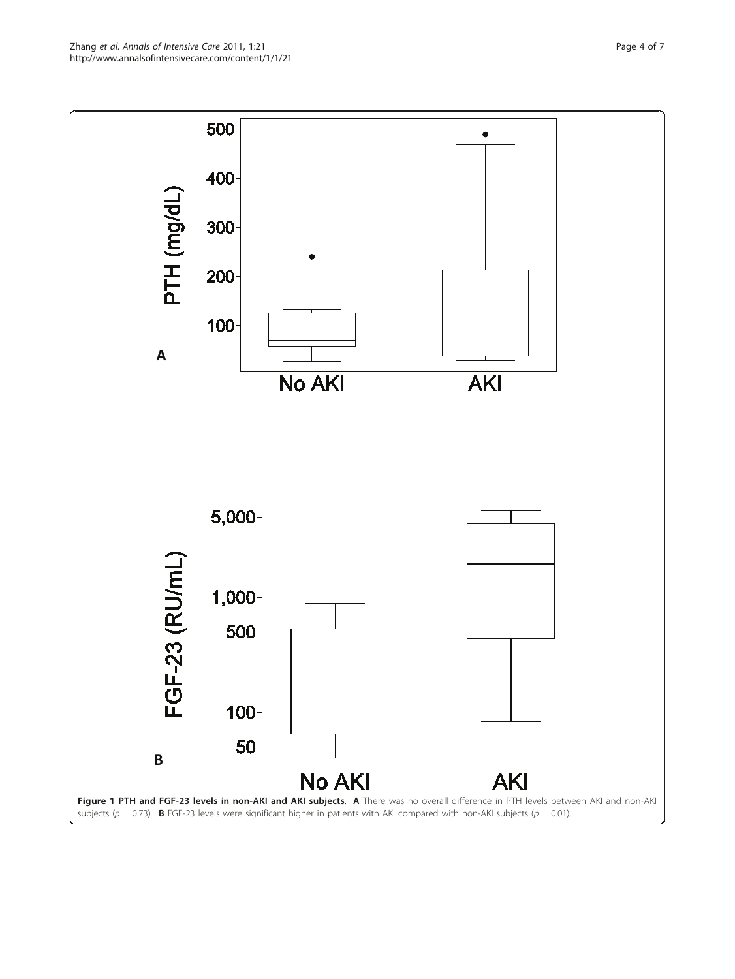<span id="page-3-0"></span>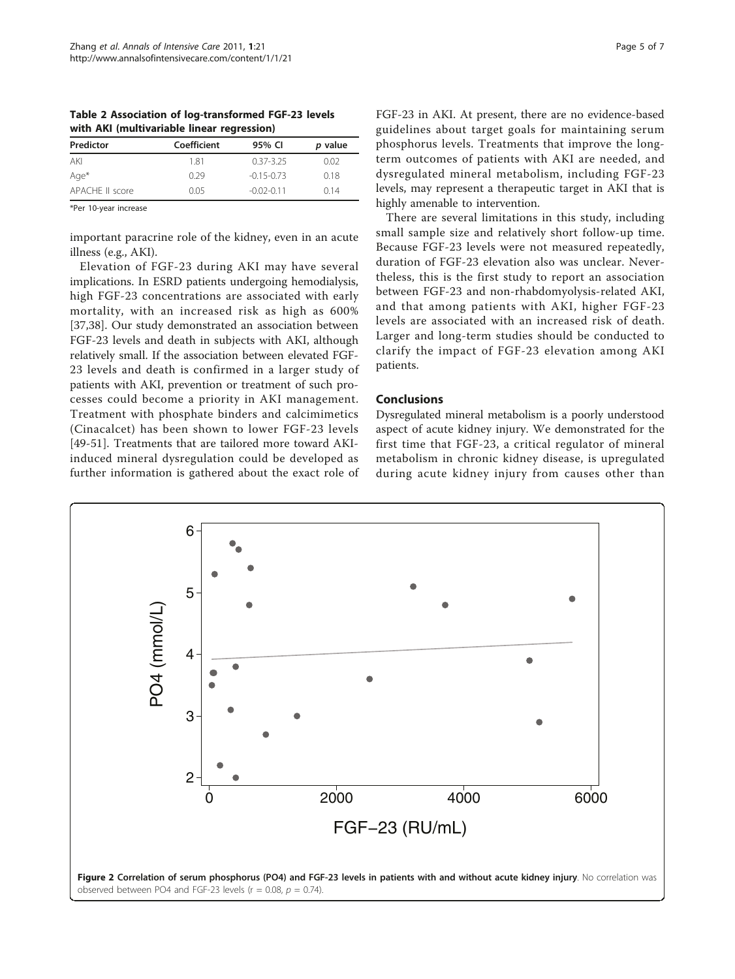<span id="page-4-0"></span>Table 2 Association of log-transformed FGF-23 levels with AKI (multivariable linear regression)

| Predictor       | Coefficient | 95% CI         | p value |
|-----------------|-------------|----------------|---------|
| AKI             | 181         | $0.37 - 3.25$  | 0.02    |
| Age*            | 0.29        | $-0.15 - 0.73$ | 0.18    |
| APACHE II score | 0.05        | $-0.02 - 0.11$ | 0.14    |

\*Per 10-year increase

important paracrine role of the kidney, even in an acute illness (e.g., AKI).

Elevation of FGF-23 during AKI may have several implications. In ESRD patients undergoing hemodialysis, high FGF-23 concentrations are associated with early mortality, with an increased risk as high as 600% [[37,38\]](#page-6-0). Our study demonstrated an association between FGF-23 levels and death in subjects with AKI, although relatively small. If the association between elevated FGF-23 levels and death is confirmed in a larger study of patients with AKI, prevention or treatment of such processes could become a priority in AKI management. Treatment with phosphate binders and calcimimetics (Cinacalcet) has been shown to lower FGF-23 levels [[49-51](#page-6-0)]. Treatments that are tailored more toward AKIinduced mineral dysregulation could be developed as further information is gathered about the exact role of

FGF-23 in AKI. At present, there are no evidence-based guidelines about target goals for maintaining serum phosphorus levels. Treatments that improve the longterm outcomes of patients with AKI are needed, and dysregulated mineral metabolism, including FGF-23 levels, may represent a therapeutic target in AKI that is highly amenable to intervention.

There are several limitations in this study, including small sample size and relatively short follow-up time. Because FGF-23 levels were not measured repeatedly, duration of FGF-23 elevation also was unclear. Nevertheless, this is the first study to report an association between FGF-23 and non-rhabdomyolysis-related AKI, and that among patients with AKI, higher FGF-23 levels are associated with an increased risk of death. Larger and long-term studies should be conducted to clarify the impact of FGF-23 elevation among AKI patients.

### Conclusions

Dysregulated mineral metabolism is a poorly understood aspect of acute kidney injury. We demonstrated for the first time that FGF-23, a critical regulator of mineral metabolism in chronic kidney disease, is upregulated during acute kidney injury from causes other than

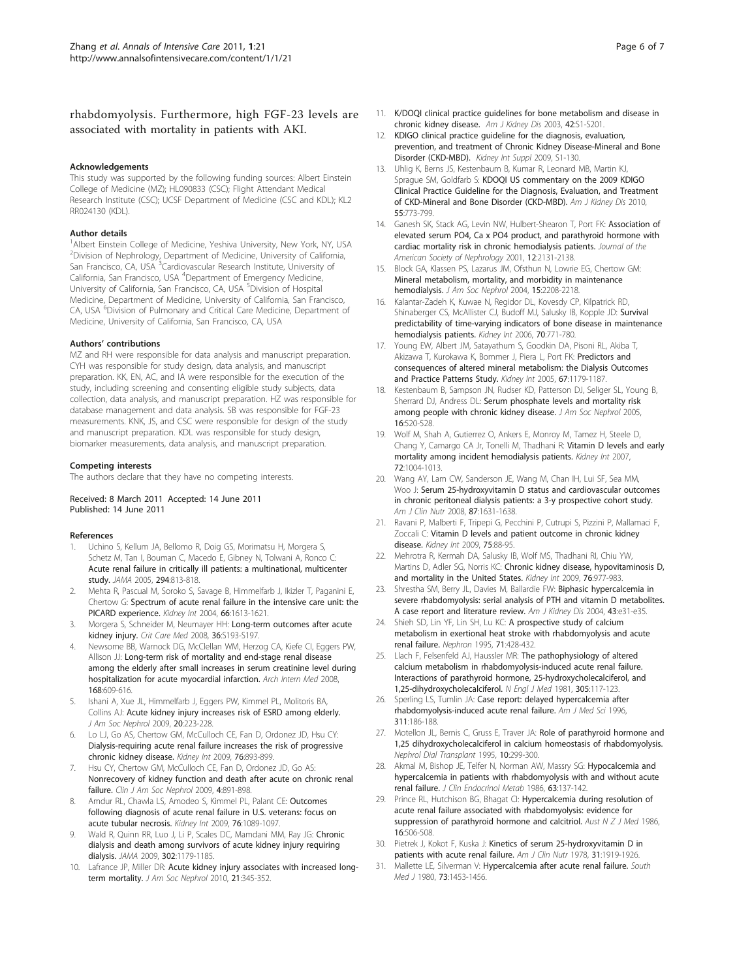## <span id="page-5-0"></span>rhabdomyolysis. Furthermore, high FGF-23 levels are associated with mortality in patients with AKI.

#### Acknowledgements

This study was supported by the following funding sources: Albert Einstein College of Medicine (MZ); HL090833 (CSC); Flight Attendant Medical Research Institute (CSC); UCSF Department of Medicine (CSC and KDL); KL2 RR024130 (KDL).

#### Author details

<sup>1</sup>Albert Einstein College of Medicine, Yeshiva University, New York, NY, USA <sup>2</sup>Division of Nephrology, Department of Medicine, University of California,<br>San Francisco, CA, USA <sup>3</sup>Cardiovascular Research Institute, University of California, San Francisco, USA <sup>4</sup>Department of Emergency Medicine, University of California, San Francisco, CA, USA <sup>5</sup>Division of Hospital Medicine, Department of Medicine, University of California, San Francisco, CA, USA <sup>6</sup>Division of Pulmonary and Critical Care Medicine, Department of Medicine, University of California, San Francisco, CA, USA

#### Authors' contributions

MZ and RH were responsible for data analysis and manuscript preparation. CYH was responsible for study design, data analysis, and manuscript preparation. KK, EN, AC, and IA were responsible for the execution of the study, including screening and consenting eligible study subjects, data collection, data analysis, and manuscript preparation. HZ was responsible for database management and data analysis. SB was responsible for FGF-23 measurements. KNK, JS, and CSC were responsible for design of the study and manuscript preparation. KDL was responsible for study design, biomarker measurements, data analysis, and manuscript preparation.

#### Competing interests

The authors declare that they have no competing interests.

#### Received: 8 March 2011 Accepted: 14 June 2011 Published: 14 June 2011

#### References

- Uchino S, Kellum JA, Bellomo R, Doig GS, Morimatsu H, Morgera S, Schetz M, Tan I, Bouman C, Macedo E, Gibney N, Tolwani A, Ronco C: [Acute renal failure in critically ill patients: a multinational, multicenter](http://www.ncbi.nlm.nih.gov/pubmed/16106006?dopt=Abstract) [study.](http://www.ncbi.nlm.nih.gov/pubmed/16106006?dopt=Abstract) JAMA 2005, 294:813-818.
- 2. Mehta R, Pascual M, Soroko S, Savage B, Himmelfarb J, Ikizler T, Paganini E, Chertow G: [Spectrum of acute renal failure in the intensive care unit: the](http://www.ncbi.nlm.nih.gov/pubmed/15458458?dopt=Abstract) [PICARD experience.](http://www.ncbi.nlm.nih.gov/pubmed/15458458?dopt=Abstract) Kidney Int 2004, 66:1613-1621.
- 3. Morgera S, Schneider M, Neumayer HH: [Long-term outcomes after acute](http://www.ncbi.nlm.nih.gov/pubmed/18382193?dopt=Abstract) [kidney injury.](http://www.ncbi.nlm.nih.gov/pubmed/18382193?dopt=Abstract) Crit Care Med 2008, 36:S193-S197.
- Newsome BB, Warnock DG, McClellan WM, Herzog CA, Kiefe CI, Eggers PW, Allison JJ: [Long-term risk of mortality and end-stage renal disease](http://www.ncbi.nlm.nih.gov/pubmed/18362253?dopt=Abstract) [among the elderly after small increases in serum creatinine level during](http://www.ncbi.nlm.nih.gov/pubmed/18362253?dopt=Abstract) [hospitalization for acute myocardial infarction.](http://www.ncbi.nlm.nih.gov/pubmed/18362253?dopt=Abstract) Arch Intern Med 2008, 168:609-616.
- Ishani A, Xue JL, Himmelfarb J, Eggers PW, Kimmel PL, Molitoris BA, Collins AJ: [Acute kidney injury increases risk of ESRD among elderly.](http://www.ncbi.nlm.nih.gov/pubmed/19020007?dopt=Abstract) J Am Soc Nephrol 2009, 20:223-228.
- 6. Lo LJ, Go AS, Chertow GM, McCulloch CE, Fan D, Ordonez JD, Hsu CY: [Dialysis-requiring acute renal failure increases the risk of progressive](http://www.ncbi.nlm.nih.gov/pubmed/19641480?dopt=Abstract) [chronic kidney disease.](http://www.ncbi.nlm.nih.gov/pubmed/19641480?dopt=Abstract) Kidney Int 2009, 76:893-899.
- 7. Hsu CY, Chertow GM, McCulloch CE, Fan D, Ordonez JD, Go AS: [Nonrecovery of kidney function and death after acute on chronic renal](http://www.ncbi.nlm.nih.gov/pubmed/19406959?dopt=Abstract) [failure.](http://www.ncbi.nlm.nih.gov/pubmed/19406959?dopt=Abstract) Clin J Am Soc Nephrol 2009, 4:891-898.
- Amdur RL, Chawla LS, Amodeo S, Kimmel PL, Palant CE: [Outcomes](http://www.ncbi.nlm.nih.gov/pubmed/19741590?dopt=Abstract) [following diagnosis of acute renal failure in U.S. veterans: focus on](http://www.ncbi.nlm.nih.gov/pubmed/19741590?dopt=Abstract) [acute tubular necrosis.](http://www.ncbi.nlm.nih.gov/pubmed/19741590?dopt=Abstract) Kidney Int 2009, 76:1089-1097.
- Wald R, Quinn RR, Luo J, Li P, Scales DC, Mamdani MM, Ray JG: [Chronic](http://www.ncbi.nlm.nih.gov/pubmed/19755696?dopt=Abstract) [dialysis and death among survivors of acute kidney injury requiring](http://www.ncbi.nlm.nih.gov/pubmed/19755696?dopt=Abstract) [dialysis.](http://www.ncbi.nlm.nih.gov/pubmed/19755696?dopt=Abstract) JAMA 2009, 302:1179-1185.
- 10. Lafrance JP, Miller DR: [Acute kidney injury associates with increased long](http://www.ncbi.nlm.nih.gov/pubmed/20019168?dopt=Abstract)[term mortality.](http://www.ncbi.nlm.nih.gov/pubmed/20019168?dopt=Abstract) J Am Soc Nephrol 2010, 21:345-352.
- 11. K/DOQI clinical practice guidelines for bone metabolism and disease in chronic kidney disease. Am J Kidney Dis 2003, 42:S1-S201.
- 12. KDIGO clinical practice guideline for the diagnosis, evaluation, prevention, and treatment of Chronic Kidney Disease-Mineral and Bone Disorder (CKD-MBD). Kidney Int Suppl 2009, S1-130.
- 13. Uhlig K, Berns JS, Kestenbaum B, Kumar R, Leonard MB, Martin KJ, Sprague SM, Goldfarb S: [KDOQI US commentary on the 2009 KDIGO](http://www.ncbi.nlm.nih.gov/pubmed/20363541?dopt=Abstract) [Clinical Practice Guideline for the Diagnosis, Evaluation, and Treatment](http://www.ncbi.nlm.nih.gov/pubmed/20363541?dopt=Abstract) [of CKD-Mineral and Bone Disorder \(CKD-MBD\).](http://www.ncbi.nlm.nih.gov/pubmed/20363541?dopt=Abstract) Am J Kidney Dis 2010, 55:773-799.
- 14. Ganesh SK, Stack AG, Levin NW, Hulbert-Shearon T, Port FK: [Association of](http://www.ncbi.nlm.nih.gov/pubmed/11562412?dopt=Abstract) [elevated serum PO4, Ca x PO4 product, and parathyroid hormone with](http://www.ncbi.nlm.nih.gov/pubmed/11562412?dopt=Abstract) [cardiac mortality risk in chronic hemodialysis patients.](http://www.ncbi.nlm.nih.gov/pubmed/11562412?dopt=Abstract) Journal of the American Society of Nephrology 2001, 12:2131-2138.
- 15. Block GA, Klassen PS, Lazarus JM, Ofsthun N, Lowrie EG, Chertow GM: [Mineral metabolism, mortality, and morbidity in maintenance](http://www.ncbi.nlm.nih.gov/pubmed/15284307?dopt=Abstract) [hemodialysis.](http://www.ncbi.nlm.nih.gov/pubmed/15284307?dopt=Abstract) J Am Soc Nephrol 2004, 15:2208-2218.
- 16. Kalantar-Zadeh K, Kuwae N, Regidor DL, Kovesdy CP, Kilpatrick RD, Shinaberger CS, McAllister CJ, Budoff MJ, Salusky IB, Kopple JD: [Survival](http://www.ncbi.nlm.nih.gov/pubmed/16820797?dopt=Abstract) [predictability of time-varying indicators of bone disease in maintenance](http://www.ncbi.nlm.nih.gov/pubmed/16820797?dopt=Abstract) [hemodialysis patients.](http://www.ncbi.nlm.nih.gov/pubmed/16820797?dopt=Abstract) Kidney Int 2006, 70:771-780.
- 17. Young EW, Albert JM, Satayathum S, Goodkin DA, Pisoni RL, Akiba T, Akizawa T, Kurokawa K, Bommer J, Piera L, Port FK: [Predictors and](http://www.ncbi.nlm.nih.gov/pubmed/15698460?dopt=Abstract) [consequences of altered mineral metabolism: the Dialysis Outcomes](http://www.ncbi.nlm.nih.gov/pubmed/15698460?dopt=Abstract) [and Practice Patterns Study.](http://www.ncbi.nlm.nih.gov/pubmed/15698460?dopt=Abstract) Kidney Int 2005, 67:1179-1187.
- 18. Kestenbaum B, Sampson JN, Rudser KD, Patterson DJ, Seliger SL, Young B, Sherrard DJ, Andress DL: [Serum phosphate levels and mortality risk](http://www.ncbi.nlm.nih.gov/pubmed/15615819?dopt=Abstract) [among people with chronic kidney disease.](http://www.ncbi.nlm.nih.gov/pubmed/15615819?dopt=Abstract) J Am Soc Nephrol 2005, 16:520-528.
- 19. Wolf M, Shah A, Gutierrez O, Ankers E, Monroy M, Tamez H, Steele D, Chang Y, Camargo CA Jr, Tonelli M, Thadhani R: [Vitamin D levels and early](http://www.ncbi.nlm.nih.gov/pubmed/17687259?dopt=Abstract) [mortality among incident hemodialysis patients.](http://www.ncbi.nlm.nih.gov/pubmed/17687259?dopt=Abstract) Kidney Int 2007, 72:1004-1013.
- 20. Wang AY, Lam CW, Sanderson JE, Wang M, Chan IH, Lui SF, Sea MM, Woo J: [Serum 25-hydroxyvitamin D status and cardiovascular outcomes](http://www.ncbi.nlm.nih.gov/pubmed/18541550?dopt=Abstract) [in chronic peritoneal dialysis patients: a 3-y prospective cohort study.](http://www.ncbi.nlm.nih.gov/pubmed/18541550?dopt=Abstract) Am J Clin Nutr 2008, 87:1631-1638.
- 21. Ravani P, Malberti F, Tripepi G, Pecchini P, Cutrupi S, Pizzini P, Mallamaci F, Zoccali C: [Vitamin D levels and patient outcome in chronic kidney](http://www.ncbi.nlm.nih.gov/pubmed/18843258?dopt=Abstract) [disease.](http://www.ncbi.nlm.nih.gov/pubmed/18843258?dopt=Abstract) Kidney Int 2009, 75:88-95.
- 22. Mehrotra R, Kermah DA, Salusky IB, Wolf MS, Thadhani RI, Chiu YW, Martins D, Adler SG, Norris KC: [Chronic kidney disease, hypovitaminosis D,](http://www.ncbi.nlm.nih.gov/pubmed/19657329?dopt=Abstract) [and mortality in the United States.](http://www.ncbi.nlm.nih.gov/pubmed/19657329?dopt=Abstract) Kidney Int 2009, 76:977-983.
- 23. Shrestha SM, Berry JL, Davies M, Ballardie FW: [Biphasic hypercalcemia in](http://www.ncbi.nlm.nih.gov/pubmed/14981639?dopt=Abstract) [severe rhabdomyolysis: serial analysis of PTH and vitamin D metabolites.](http://www.ncbi.nlm.nih.gov/pubmed/14981639?dopt=Abstract) [A case report and literature review.](http://www.ncbi.nlm.nih.gov/pubmed/14981639?dopt=Abstract) Am J Kidney Dis 2004, 43:e31-e35.
- 24. Shieh SD, Lin YF, Lin SH, Lu KC: [A prospective study of calcium](http://www.ncbi.nlm.nih.gov/pubmed/8587623?dopt=Abstract) [metabolism in exertional heat stroke with rhabdomyolysis and acute](http://www.ncbi.nlm.nih.gov/pubmed/8587623?dopt=Abstract) [renal failure.](http://www.ncbi.nlm.nih.gov/pubmed/8587623?dopt=Abstract) Nephron 1995, 71:428-432.
- 25. Llach F, Felsenfeld AJ, Haussler MR: [The pathophysiology of altered](http://www.ncbi.nlm.nih.gov/pubmed/6894630?dopt=Abstract) [calcium metabolism in rhabdomyolysis-induced acute renal failure.](http://www.ncbi.nlm.nih.gov/pubmed/6894630?dopt=Abstract) [Interactions of parathyroid hormone, 25-hydroxycholecalciferol, and](http://www.ncbi.nlm.nih.gov/pubmed/6894630?dopt=Abstract) [1,25-dihydroxycholecalciferol.](http://www.ncbi.nlm.nih.gov/pubmed/6894630?dopt=Abstract) N Engl J Med 1981, 305:117-123
- 26. Sperling LS, Tumlin JA: [Case report: delayed hypercalcemia after](http://www.ncbi.nlm.nih.gov/pubmed/8602649?dopt=Abstract) [rhabdomyolysis-induced acute renal failure.](http://www.ncbi.nlm.nih.gov/pubmed/8602649?dopt=Abstract) Am J Med Sci 1996, 311:186-188.
- 27. Motellon JL, Bernis C, Gruss E, Traver JA: [Role of parathyroid hormone and](http://www.ncbi.nlm.nih.gov/pubmed/7753474?dopt=Abstract) [1,25 dihydroxycholecalciferol in calcium homeostasis of rhabdomyolysis.](http://www.ncbi.nlm.nih.gov/pubmed/7753474?dopt=Abstract) Nephrol Dial Transplant 1995, 10:299-300.
- 28. Akmal M, Bishop JE, Telfer N, Norman AW, Massry SG: [Hypocalcemia and](http://www.ncbi.nlm.nih.gov/pubmed/3011837?dopt=Abstract) [hypercalcemia in patients with rhabdomyolysis with and without acute](http://www.ncbi.nlm.nih.gov/pubmed/3011837?dopt=Abstract) [renal failure.](http://www.ncbi.nlm.nih.gov/pubmed/3011837?dopt=Abstract) J Clin Endocrinol Metab 1986, 63:137-142.
- 29. Prince RL, Hutchison BG, Bhagat CI: [Hypercalcemia during resolution of](http://www.ncbi.nlm.nih.gov/pubmed/3467694?dopt=Abstract) [acute renal failure associated with rhabdomyolysis: evidence for](http://www.ncbi.nlm.nih.gov/pubmed/3467694?dopt=Abstract) [suppression of parathyroid hormone and calcitriol.](http://www.ncbi.nlm.nih.gov/pubmed/3467694?dopt=Abstract) Aust  $N Z J$  Med 1986, 16:506-508.
- 30. Pietrek J, Kokot F, Kuska J: [Kinetics of serum 25-hydroxyvitamin D in](http://www.ncbi.nlm.nih.gov/pubmed/707348?dopt=Abstract) [patients with acute renal failure.](http://www.ncbi.nlm.nih.gov/pubmed/707348?dopt=Abstract) Am J Clin Nutr 1978, 31:1919-1926.
- 31. Mallette LE, Silverman V: [Hypercalcemia after acute renal failure.](http://www.ncbi.nlm.nih.gov/pubmed/7444507?dopt=Abstract) South Med J 1980, 73:1453-1456.